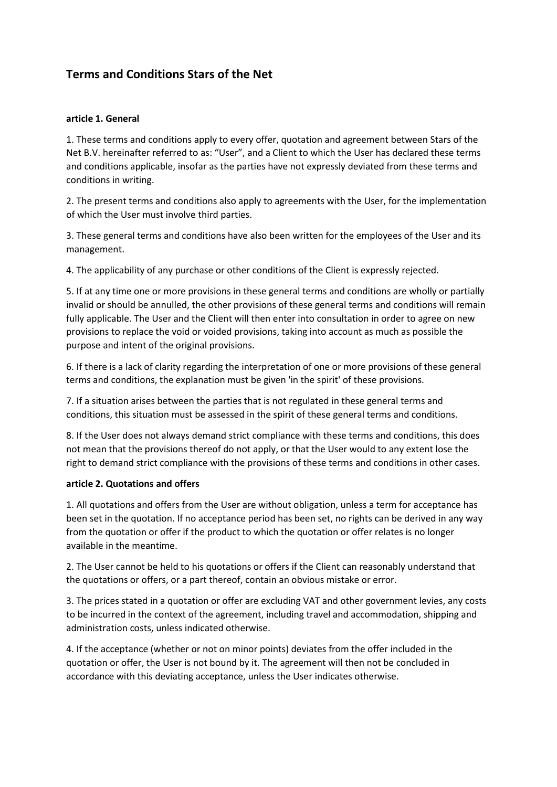# **Terms and Conditions Stars of the Net**

#### **article 1. General**

1. These terms and conditions apply to every offer, quotation and agreement between Stars of the Net B.V. hereinafter referred to as: "User", and a Client to which the User has declared these terms and conditions applicable, insofar as the parties have not expressly deviated from these terms and conditions in writing.

2. The present terms and conditions also apply to agreements with the User, for the implementation of which the User must involve third parties.

3. These general terms and conditions have also been written for the employees of the User and its management.

4. The applicability of any purchase or other conditions of the Client is expressly rejected.

5. If at any time one or more provisions in these general terms and conditions are wholly or partially invalid or should be annulled, the other provisions of these general terms and conditions will remain fully applicable. The User and the Client will then enter into consultation in order to agree on new provisions to replace the void or voided provisions, taking into account as much as possible the purpose and intent of the original provisions.

6. If there is a lack of clarity regarding the interpretation of one or more provisions of these general terms and conditions, the explanation must be given 'in the spirit' of these provisions.

7. If a situation arises between the parties that is not regulated in these general terms and conditions, this situation must be assessed in the spirit of these general terms and conditions.

8. If the User does not always demand strict compliance with these terms and conditions, this does not mean that the provisions thereof do not apply, or that the User would to any extent lose the right to demand strict compliance with the provisions of these terms and conditions in other cases.

#### **article 2. Quotations and offers**

1. All quotations and offers from the User are without obligation, unless a term for acceptance has been set in the quotation. If no acceptance period has been set, no rights can be derived in any way from the quotation or offer if the product to which the quotation or offer relates is no longer available in the meantime.

2. The User cannot be held to his quotations or offers if the Client can reasonably understand that the quotations or offers, or a part thereof, contain an obvious mistake or error.

3. The prices stated in a quotation or offer are excluding VAT and other government levies, any costs to be incurred in the context of the agreement, including travel and accommodation, shipping and administration costs, unless indicated otherwise.

4. If the acceptance (whether or not on minor points) deviates from the offer included in the quotation or offer, the User is not bound by it. The agreement will then not be concluded in accordance with this deviating acceptance, unless the User indicates otherwise.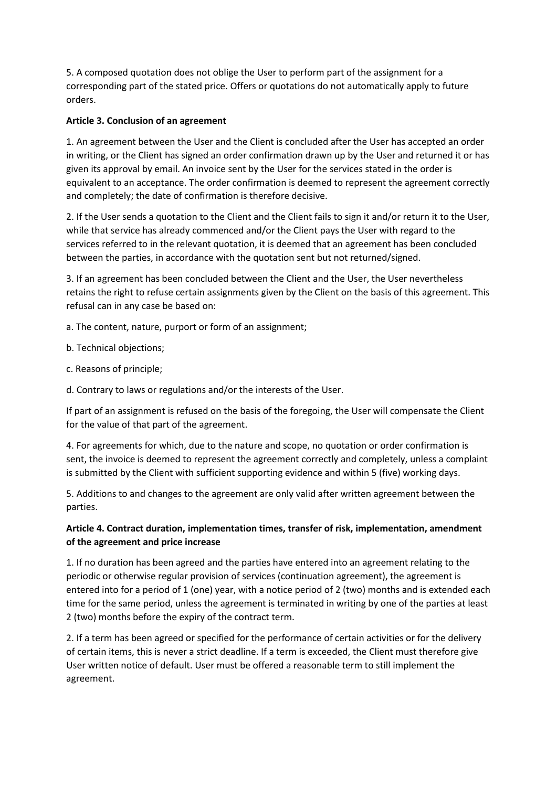5. A composed quotation does not oblige the User to perform part of the assignment for a corresponding part of the stated price. Offers or quotations do not automatically apply to future orders.

## **Article 3. Conclusion of an agreement**

1. An agreement between the User and the Client is concluded after the User has accepted an order in writing, or the Client has signed an order confirmation drawn up by the User and returned it or has given its approval by email. An invoice sent by the User for the services stated in the order is equivalent to an acceptance. The order confirmation is deemed to represent the agreement correctly and completely; the date of confirmation is therefore decisive.

2. If the User sends a quotation to the Client and the Client fails to sign it and/or return it to the User, while that service has already commenced and/or the Client pays the User with regard to the services referred to in the relevant quotation, it is deemed that an agreement has been concluded between the parties, in accordance with the quotation sent but not returned/signed.

3. If an agreement has been concluded between the Client and the User, the User nevertheless retains the right to refuse certain assignments given by the Client on the basis of this agreement. This refusal can in any case be based on:

a. The content, nature, purport or form of an assignment;

- b. Technical objections;
- c. Reasons of principle;
- d. Contrary to laws or regulations and/or the interests of the User.

If part of an assignment is refused on the basis of the foregoing, the User will compensate the Client for the value of that part of the agreement.

4. For agreements for which, due to the nature and scope, no quotation or order confirmation is sent, the invoice is deemed to represent the agreement correctly and completely, unless a complaint is submitted by the Client with sufficient supporting evidence and within 5 (five) working days.

5. Additions to and changes to the agreement are only valid after written agreement between the parties.

# **Article 4. Contract duration, implementation times, transfer of risk, implementation, amendment of the agreement and price increase**

1. If no duration has been agreed and the parties have entered into an agreement relating to the periodic or otherwise regular provision of services (continuation agreement), the agreement is entered into for a period of 1 (one) year, with a notice period of 2 (two) months and is extended each time for the same period, unless the agreement is terminated in writing by one of the parties at least 2 (two) months before the expiry of the contract term.

2. If a term has been agreed or specified for the performance of certain activities or for the delivery of certain items, this is never a strict deadline. If a term is exceeded, the Client must therefore give User written notice of default. User must be offered a reasonable term to still implement the agreement.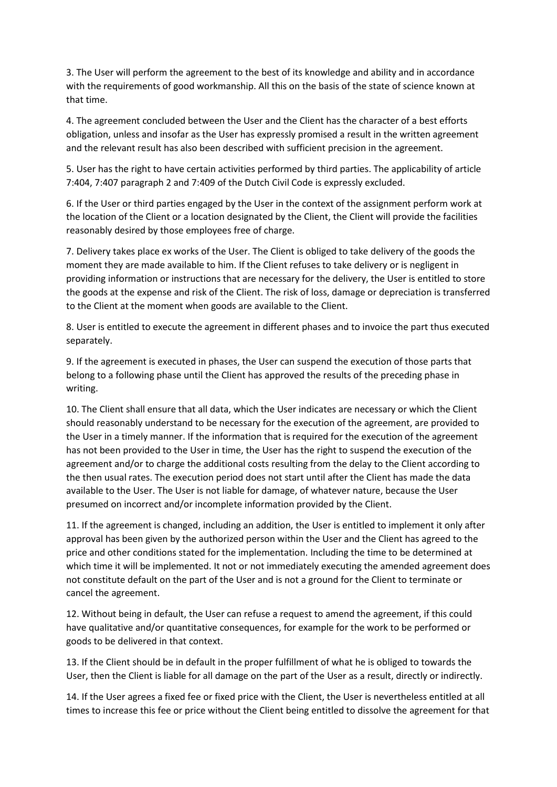3. The User will perform the agreement to the best of its knowledge and ability and in accordance with the requirements of good workmanship. All this on the basis of the state of science known at that time.

4. The agreement concluded between the User and the Client has the character of a best efforts obligation, unless and insofar as the User has expressly promised a result in the written agreement and the relevant result has also been described with sufficient precision in the agreement.

5. User has the right to have certain activities performed by third parties. The applicability of article 7:404, 7:407 paragraph 2 and 7:409 of the Dutch Civil Code is expressly excluded.

6. If the User or third parties engaged by the User in the context of the assignment perform work at the location of the Client or a location designated by the Client, the Client will provide the facilities reasonably desired by those employees free of charge.

7. Delivery takes place ex works of the User. The Client is obliged to take delivery of the goods the moment they are made available to him. If the Client refuses to take delivery or is negligent in providing information or instructions that are necessary for the delivery, the User is entitled to store the goods at the expense and risk of the Client. The risk of loss, damage or depreciation is transferred to the Client at the moment when goods are available to the Client.

8. User is entitled to execute the agreement in different phases and to invoice the part thus executed separately.

9. If the agreement is executed in phases, the User can suspend the execution of those parts that belong to a following phase until the Client has approved the results of the preceding phase in writing.

10. The Client shall ensure that all data, which the User indicates are necessary or which the Client should reasonably understand to be necessary for the execution of the agreement, are provided to the User in a timely manner. If the information that is required for the execution of the agreement has not been provided to the User in time, the User has the right to suspend the execution of the agreement and/or to charge the additional costs resulting from the delay to the Client according to the then usual rates. The execution period does not start until after the Client has made the data available to the User. The User is not liable for damage, of whatever nature, because the User presumed on incorrect and/or incomplete information provided by the Client.

11. If the agreement is changed, including an addition, the User is entitled to implement it only after approval has been given by the authorized person within the User and the Client has agreed to the price and other conditions stated for the implementation. Including the time to be determined at which time it will be implemented. It not or not immediately executing the amended agreement does not constitute default on the part of the User and is not a ground for the Client to terminate or cancel the agreement.

12. Without being in default, the User can refuse a request to amend the agreement, if this could have qualitative and/or quantitative consequences, for example for the work to be performed or goods to be delivered in that context.

13. If the Client should be in default in the proper fulfillment of what he is obliged to towards the User, then the Client is liable for all damage on the part of the User as a result, directly or indirectly.

14. If the User agrees a fixed fee or fixed price with the Client, the User is nevertheless entitled at all times to increase this fee or price without the Client being entitled to dissolve the agreement for that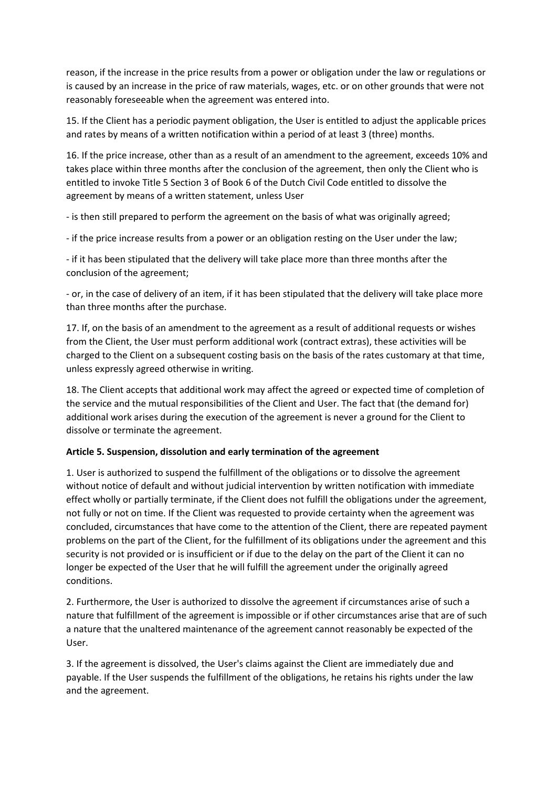reason, if the increase in the price results from a power or obligation under the law or regulations or is caused by an increase in the price of raw materials, wages, etc. or on other grounds that were not reasonably foreseeable when the agreement was entered into.

15. If the Client has a periodic payment obligation, the User is entitled to adjust the applicable prices and rates by means of a written notification within a period of at least 3 (three) months.

16. If the price increase, other than as a result of an amendment to the agreement, exceeds 10% and takes place within three months after the conclusion of the agreement, then only the Client who is entitled to invoke Title 5 Section 3 of Book 6 of the Dutch Civil Code entitled to dissolve the agreement by means of a written statement, unless User

- is then still prepared to perform the agreement on the basis of what was originally agreed;

- if the price increase results from a power or an obligation resting on the User under the law;

- if it has been stipulated that the delivery will take place more than three months after the conclusion of the agreement;

- or, in the case of delivery of an item, if it has been stipulated that the delivery will take place more than three months after the purchase.

17. If, on the basis of an amendment to the agreement as a result of additional requests or wishes from the Client, the User must perform additional work (contract extras), these activities will be charged to the Client on a subsequent costing basis on the basis of the rates customary at that time, unless expressly agreed otherwise in writing.

18. The Client accepts that additional work may affect the agreed or expected time of completion of the service and the mutual responsibilities of the Client and User. The fact that (the demand for) additional work arises during the execution of the agreement is never a ground for the Client to dissolve or terminate the agreement.

#### **Article 5. Suspension, dissolution and early termination of the agreement**

1. User is authorized to suspend the fulfillment of the obligations or to dissolve the agreement without notice of default and without judicial intervention by written notification with immediate effect wholly or partially terminate, if the Client does not fulfill the obligations under the agreement, not fully or not on time. If the Client was requested to provide certainty when the agreement was concluded, circumstances that have come to the attention of the Client, there are repeated payment problems on the part of the Client, for the fulfillment of its obligations under the agreement and this security is not provided or is insufficient or if due to the delay on the part of the Client it can no longer be expected of the User that he will fulfill the agreement under the originally agreed conditions.

2. Furthermore, the User is authorized to dissolve the agreement if circumstances arise of such a nature that fulfillment of the agreement is impossible or if other circumstances arise that are of such a nature that the unaltered maintenance of the agreement cannot reasonably be expected of the User.

3. If the agreement is dissolved, the User's claims against the Client are immediately due and payable. If the User suspends the fulfillment of the obligations, he retains his rights under the law and the agreement.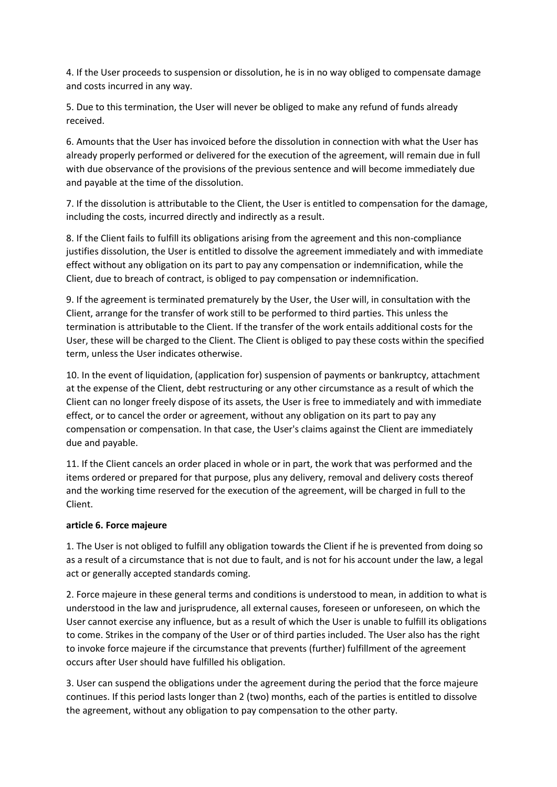4. If the User proceeds to suspension or dissolution, he is in no way obliged to compensate damage and costs incurred in any way.

5. Due to this termination, the User will never be obliged to make any refund of funds already received.

6. Amounts that the User has invoiced before the dissolution in connection with what the User has already properly performed or delivered for the execution of the agreement, will remain due in full with due observance of the provisions of the previous sentence and will become immediately due and payable at the time of the dissolution.

7. If the dissolution is attributable to the Client, the User is entitled to compensation for the damage, including the costs, incurred directly and indirectly as a result.

8. If the Client fails to fulfill its obligations arising from the agreement and this non-compliance justifies dissolution, the User is entitled to dissolve the agreement immediately and with immediate effect without any obligation on its part to pay any compensation or indemnification, while the Client, due to breach of contract, is obliged to pay compensation or indemnification.

9. If the agreement is terminated prematurely by the User, the User will, in consultation with the Client, arrange for the transfer of work still to be performed to third parties. This unless the termination is attributable to the Client. If the transfer of the work entails additional costs for the User, these will be charged to the Client. The Client is obliged to pay these costs within the specified term, unless the User indicates otherwise.

10. In the event of liquidation, (application for) suspension of payments or bankruptcy, attachment at the expense of the Client, debt restructuring or any other circumstance as a result of which the Client can no longer freely dispose of its assets, the User is free to immediately and with immediate effect, or to cancel the order or agreement, without any obligation on its part to pay any compensation or compensation. In that case, the User's claims against the Client are immediately due and payable.

11. If the Client cancels an order placed in whole or in part, the work that was performed and the items ordered or prepared for that purpose, plus any delivery, removal and delivery costs thereof and the working time reserved for the execution of the agreement, will be charged in full to the Client.

#### **article 6. Force majeure**

1. The User is not obliged to fulfill any obligation towards the Client if he is prevented from doing so as a result of a circumstance that is not due to fault, and is not for his account under the law, a legal act or generally accepted standards coming.

2. Force majeure in these general terms and conditions is understood to mean, in addition to what is understood in the law and jurisprudence, all external causes, foreseen or unforeseen, on which the User cannot exercise any influence, but as a result of which the User is unable to fulfill its obligations to come. Strikes in the company of the User or of third parties included. The User also has the right to invoke force majeure if the circumstance that prevents (further) fulfillment of the agreement occurs after User should have fulfilled his obligation.

3. User can suspend the obligations under the agreement during the period that the force majeure continues. If this period lasts longer than 2 (two) months, each of the parties is entitled to dissolve the agreement, without any obligation to pay compensation to the other party.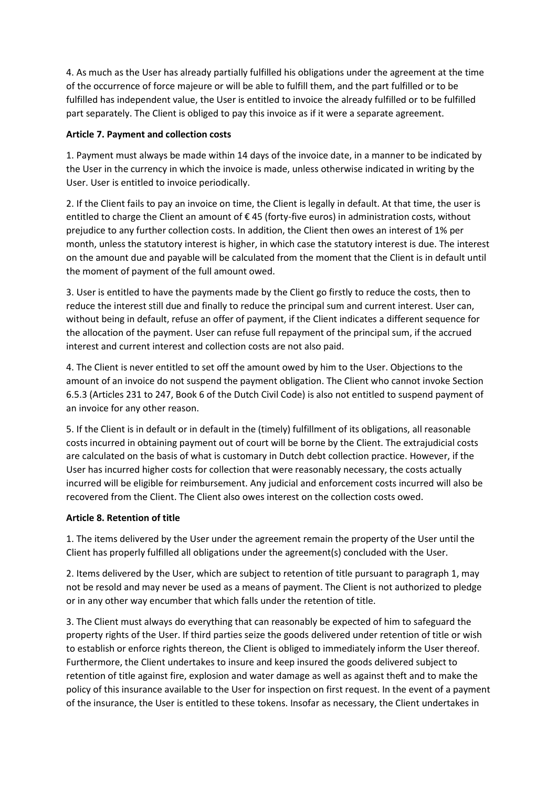4. As much as the User has already partially fulfilled his obligations under the agreement at the time of the occurrence of force majeure or will be able to fulfill them, and the part fulfilled or to be fulfilled has independent value, the User is entitled to invoice the already fulfilled or to be fulfilled part separately. The Client is obliged to pay this invoice as if it were a separate agreement.

#### **Article 7. Payment and collection costs**

1. Payment must always be made within 14 days of the invoice date, in a manner to be indicated by the User in the currency in which the invoice is made, unless otherwise indicated in writing by the User. User is entitled to invoice periodically.

2. If the Client fails to pay an invoice on time, the Client is legally in default. At that time, the user is entitled to charge the Client an amount of € 45 (forty-five euros) in administration costs, without prejudice to any further collection costs. In addition, the Client then owes an interest of 1% per month, unless the statutory interest is higher, in which case the statutory interest is due. The interest on the amount due and payable will be calculated from the moment that the Client is in default until the moment of payment of the full amount owed.

3. User is entitled to have the payments made by the Client go firstly to reduce the costs, then to reduce the interest still due and finally to reduce the principal sum and current interest. User can, without being in default, refuse an offer of payment, if the Client indicates a different sequence for the allocation of the payment. User can refuse full repayment of the principal sum, if the accrued interest and current interest and collection costs are not also paid.

4. The Client is never entitled to set off the amount owed by him to the User. Objections to the amount of an invoice do not suspend the payment obligation. The Client who cannot invoke Section 6.5.3 (Articles 231 to 247, Book 6 of the Dutch Civil Code) is also not entitled to suspend payment of an invoice for any other reason.

5. If the Client is in default or in default in the (timely) fulfillment of its obligations, all reasonable costs incurred in obtaining payment out of court will be borne by the Client. The extrajudicial costs are calculated on the basis of what is customary in Dutch debt collection practice. However, if the User has incurred higher costs for collection that were reasonably necessary, the costs actually incurred will be eligible for reimbursement. Any judicial and enforcement costs incurred will also be recovered from the Client. The Client also owes interest on the collection costs owed.

## **Article 8. Retention of title**

1. The items delivered by the User under the agreement remain the property of the User until the Client has properly fulfilled all obligations under the agreement(s) concluded with the User.

2. Items delivered by the User, which are subject to retention of title pursuant to paragraph 1, may not be resold and may never be used as a means of payment. The Client is not authorized to pledge or in any other way encumber that which falls under the retention of title.

3. The Client must always do everything that can reasonably be expected of him to safeguard the property rights of the User. If third parties seize the goods delivered under retention of title or wish to establish or enforce rights thereon, the Client is obliged to immediately inform the User thereof. Furthermore, the Client undertakes to insure and keep insured the goods delivered subject to retention of title against fire, explosion and water damage as well as against theft and to make the policy of this insurance available to the User for inspection on first request. In the event of a payment of the insurance, the User is entitled to these tokens. Insofar as necessary, the Client undertakes in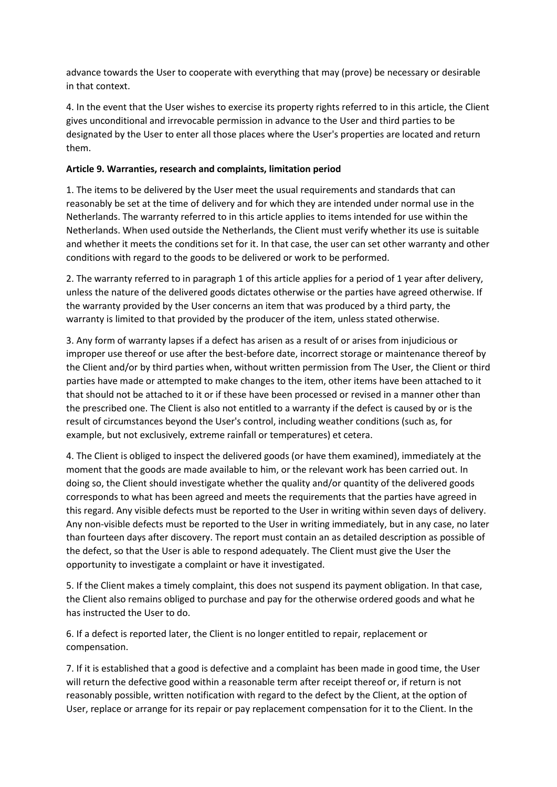advance towards the User to cooperate with everything that may (prove) be necessary or desirable in that context.

4. In the event that the User wishes to exercise its property rights referred to in this article, the Client gives unconditional and irrevocable permission in advance to the User and third parties to be designated by the User to enter all those places where the User's properties are located and return them.

#### **Article 9. Warranties, research and complaints, limitation period**

1. The items to be delivered by the User meet the usual requirements and standards that can reasonably be set at the time of delivery and for which they are intended under normal use in the Netherlands. The warranty referred to in this article applies to items intended for use within the Netherlands. When used outside the Netherlands, the Client must verify whether its use is suitable and whether it meets the conditions set for it. In that case, the user can set other warranty and other conditions with regard to the goods to be delivered or work to be performed.

2. The warranty referred to in paragraph 1 of this article applies for a period of 1 year after delivery, unless the nature of the delivered goods dictates otherwise or the parties have agreed otherwise. If the warranty provided by the User concerns an item that was produced by a third party, the warranty is limited to that provided by the producer of the item, unless stated otherwise.

3. Any form of warranty lapses if a defect has arisen as a result of or arises from injudicious or improper use thereof or use after the best-before date, incorrect storage or maintenance thereof by the Client and/or by third parties when, without written permission from The User, the Client or third parties have made or attempted to make changes to the item, other items have been attached to it that should not be attached to it or if these have been processed or revised in a manner other than the prescribed one. The Client is also not entitled to a warranty if the defect is caused by or is the result of circumstances beyond the User's control, including weather conditions (such as, for example, but not exclusively, extreme rainfall or temperatures) et cetera.

4. The Client is obliged to inspect the delivered goods (or have them examined), immediately at the moment that the goods are made available to him, or the relevant work has been carried out. In doing so, the Client should investigate whether the quality and/or quantity of the delivered goods corresponds to what has been agreed and meets the requirements that the parties have agreed in this regard. Any visible defects must be reported to the User in writing within seven days of delivery. Any non-visible defects must be reported to the User in writing immediately, but in any case, no later than fourteen days after discovery. The report must contain an as detailed description as possible of the defect, so that the User is able to respond adequately. The Client must give the User the opportunity to investigate a complaint or have it investigated.

5. If the Client makes a timely complaint, this does not suspend its payment obligation. In that case, the Client also remains obliged to purchase and pay for the otherwise ordered goods and what he has instructed the User to do.

6. If a defect is reported later, the Client is no longer entitled to repair, replacement or compensation.

7. If it is established that a good is defective and a complaint has been made in good time, the User will return the defective good within a reasonable term after receipt thereof or, if return is not reasonably possible, written notification with regard to the defect by the Client, at the option of User, replace or arrange for its repair or pay replacement compensation for it to the Client. In the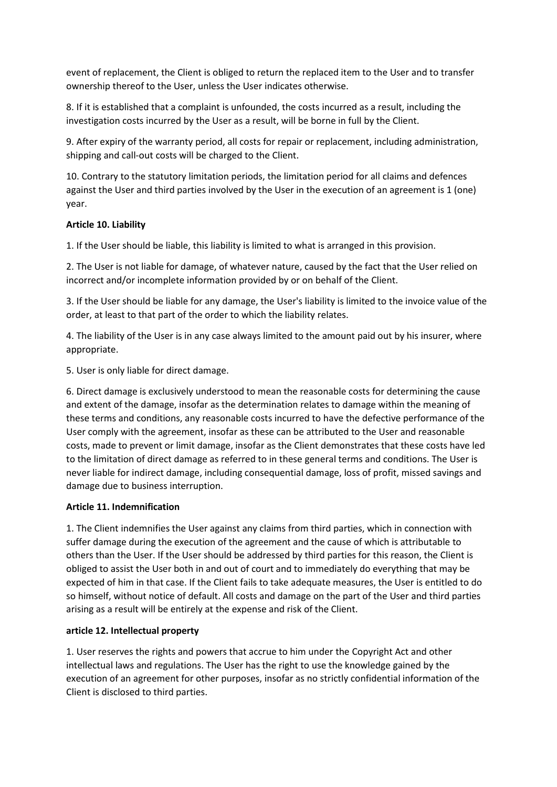event of replacement, the Client is obliged to return the replaced item to the User and to transfer ownership thereof to the User, unless the User indicates otherwise.

8. If it is established that a complaint is unfounded, the costs incurred as a result, including the investigation costs incurred by the User as a result, will be borne in full by the Client.

9. After expiry of the warranty period, all costs for repair or replacement, including administration, shipping and call-out costs will be charged to the Client.

10. Contrary to the statutory limitation periods, the limitation period for all claims and defences against the User and third parties involved by the User in the execution of an agreement is 1 (one) year.

#### **Article 10. Liability**

1. If the User should be liable, this liability is limited to what is arranged in this provision.

2. The User is not liable for damage, of whatever nature, caused by the fact that the User relied on incorrect and/or incomplete information provided by or on behalf of the Client.

3. If the User should be liable for any damage, the User's liability is limited to the invoice value of the order, at least to that part of the order to which the liability relates.

4. The liability of the User is in any case always limited to the amount paid out by his insurer, where appropriate.

5. User is only liable for direct damage.

6. Direct damage is exclusively understood to mean the reasonable costs for determining the cause and extent of the damage, insofar as the determination relates to damage within the meaning of these terms and conditions, any reasonable costs incurred to have the defective performance of the User comply with the agreement, insofar as these can be attributed to the User and reasonable costs, made to prevent or limit damage, insofar as the Client demonstrates that these costs have led to the limitation of direct damage as referred to in these general terms and conditions. The User is never liable for indirect damage, including consequential damage, loss of profit, missed savings and damage due to business interruption.

## **Article 11. Indemnification**

1. The Client indemnifies the User against any claims from third parties, which in connection with suffer damage during the execution of the agreement and the cause of which is attributable to others than the User. If the User should be addressed by third parties for this reason, the Client is obliged to assist the User both in and out of court and to immediately do everything that may be expected of him in that case. If the Client fails to take adequate measures, the User is entitled to do so himself, without notice of default. All costs and damage on the part of the User and third parties arising as a result will be entirely at the expense and risk of the Client.

## **article 12. Intellectual property**

1. User reserves the rights and powers that accrue to him under the Copyright Act and other intellectual laws and regulations. The User has the right to use the knowledge gained by the execution of an agreement for other purposes, insofar as no strictly confidential information of the Client is disclosed to third parties.